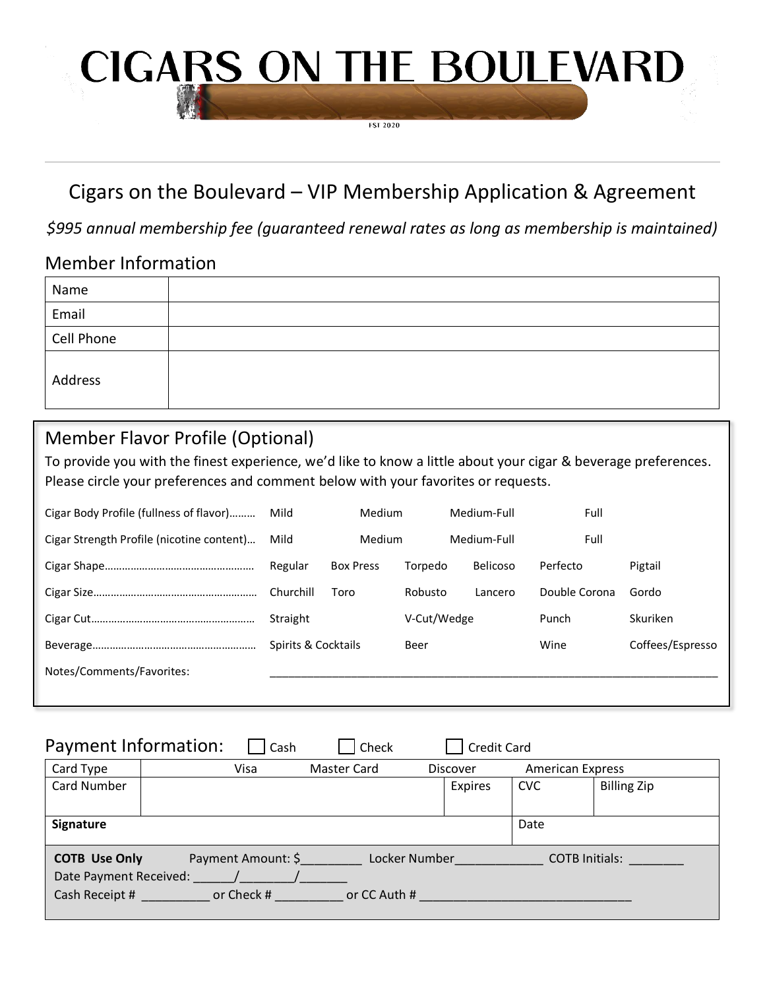# **CIGARS ON THE BOULEVARD**

**FST 2020** 

## Cigars on the Boulevard – VIP Membership Application & Agreement

*\$995 annual membership fee (guaranteed renewal rates as long as membership is maintained)*

## Member Information

| Name       |  |
|------------|--|
| Email      |  |
| Cell Phone |  |
| Address    |  |

## Member Flavor Profile (Optional)

To provide you with the finest experience, we'd like to know a little about your cigar & beverage preferences. Please circle your preferences and comment below with your favorites or requests.

| Cigar Body Profile (fullness of flavor)   | <b>Medium</b><br>Mild |                  | Medium-Full |                 | Full          |                  |
|-------------------------------------------|-----------------------|------------------|-------------|-----------------|---------------|------------------|
| Cigar Strength Profile (nicotine content) | Mild<br><b>Medium</b> |                  | Medium-Full |                 | Full          |                  |
|                                           | Regular               | <b>Box Press</b> | Torpedo     | <b>Belicoso</b> | Perfecto      | Pigtail          |
|                                           | Churchill             | Toro             | Robusto     | Lancero         | Double Corona | Gordo            |
|                                           | Straight              |                  | V-Cut/Wedge |                 | Punch         | Skuriken         |
|                                           | Spirits & Cocktails   |                  | Beer        |                 | Wine          | Coffees/Espresso |
| Notes/Comments/Favorites:                 |                       |                  |             |                 |               |                  |
|                                           |                       |                  |             |                 |               |                  |

| Payment Information:                                                                                                                                           |  | Cash | Check              |  | <b>Credit Card</b> |                         |                    |  |  |
|----------------------------------------------------------------------------------------------------------------------------------------------------------------|--|------|--------------------|--|--------------------|-------------------------|--------------------|--|--|
| Card Type                                                                                                                                                      |  | Visa | <b>Master Card</b> |  | Discover           | <b>American Express</b> |                    |  |  |
| Card Number                                                                                                                                                    |  |      |                    |  | Expires            | <b>CVC</b>              | <b>Billing Zip</b> |  |  |
|                                                                                                                                                                |  |      |                    |  |                    |                         |                    |  |  |
| Signature                                                                                                                                                      |  |      |                    |  |                    | Date                    |                    |  |  |
| Payment Amount: \$<br><b>COTB Use Only</b><br>Locker Number<br><b>COTB Initials:</b><br>Date Payment Received:<br>Cash Receipt #<br>or Check #<br>or CC Auth # |  |      |                    |  |                    |                         |                    |  |  |